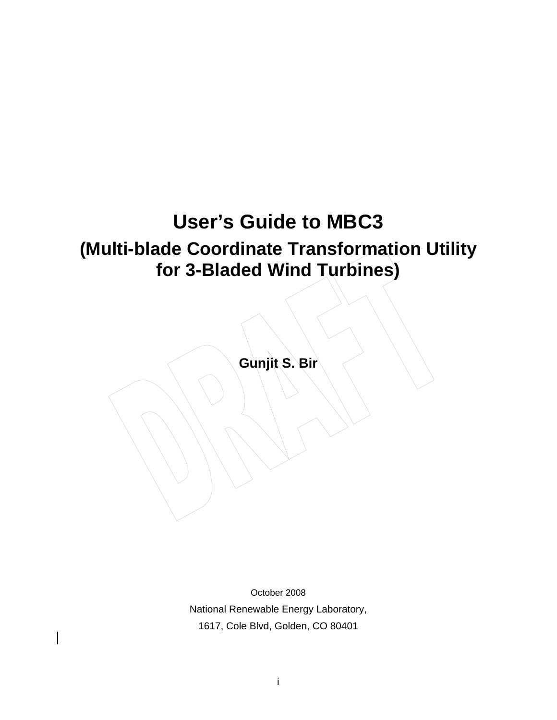# **User's Guide to MBC3 (Multi-blade Coordinate Transformation Utility for 3-Bladed Wind Turbines)**

**Gunjit S. Bir** 

October 2008 National Renewable Energy Laboratory, 1617, Cole Blvd, Golden, CO 80401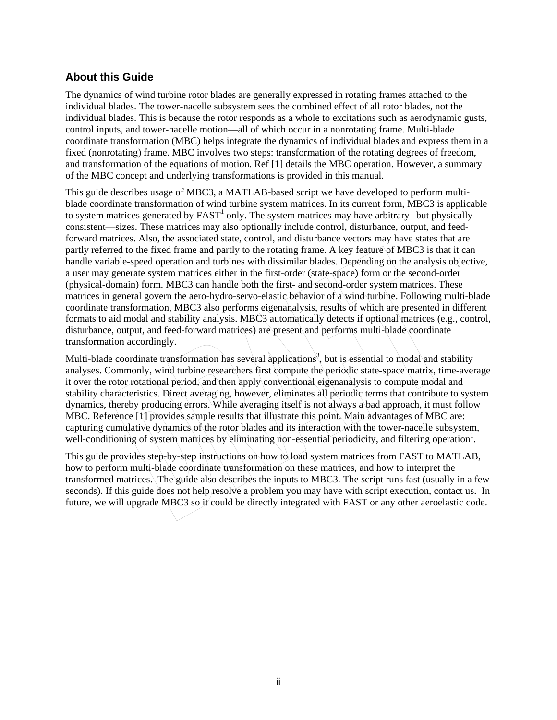### <span id="page-1-0"></span>**About this Guide**

The dynamics of wind turbine rotor blades are generally expressed in rotating frames attached to the individual blades. The tower-nacelle subsystem sees the combined effect of all rotor blades, not the individual blades. This is because the rotor responds as a whole to excitations such as aerodynamic gusts, control inputs, and tower-nacelle motion—all of which occur in a nonrotating frame. Multi-blade coordinate transformation (MBC) helps integrate the dynamics of individual blades and express them in a fixed (nonrotating) frame. MBC involves two steps: transformation of the rotating degrees of freedom, and transformation of the equations of motion. Ref [1] details the MBC operation. However, a summary of the MBC concept and underlying transformations is provided in this manual.

This guide describes usage of MBC3, a MATLAB-based script we have developed to perform multiblade coordinate transformation of wind turbine system matrices. In its current form, MBC3 is applicable to system matrices generated by  $FAST<sup>1</sup>$  only. The system matrices may have arbitrary--but physically consistent—sizes. These matrices may also optionally include control, disturbance, output, and feedforward matrices. Also, the associated state, control, and disturbance vectors may have states that are partly referred to the fixed frame and partly to the rotating frame. A key feature of MBC3 is that it can handle variable-speed operation and turbines with dissimilar blades. Depending on the analysis objective, a user may generate system matrices either in the first-order (state-space) form or the second-order (physical-domain) form. MBC3 can handle both the first- and second-order system matrices. These matrices in general govern the aero-hydro-servo-elastic behavior of a wind turbine. Following multi-blade coordinate transformation, MBC3 also performs eigenanalysis, results of which are presented in different formats to aid modal and stability analysis. MBC3 automatically detects if optional matrices (e.g., control, disturbance, output, and feed-forward matrices) are present and performs multi-blade coordinate transformation accordingly.

Multi-blade coordinate transformation has several applications<sup>3</sup>, but is essential to modal and stability analyses. Commonly, wind turbine researchers first compute the periodic state-space matrix, time-average it over the rotor rotational period, and then apply conventional eigenanalysis to compute modal and stability characteristics. Direct averaging, however, eliminates all periodic terms that contribute to system dynamics, thereby producing errors. While averaging itself is not always a bad approach, it must follow MBC. Reference [1] provides sample results that illustrate this point. Main advantages of MBC are: capturing cumulative dynamics of the rotor blades and its interaction with the tower-nacelle subsystem, well-conditioning of system matrices by eliminating non-essential periodicity, and filtering operation<sup>1</sup>.

This guide provides step-by-step instructions on how to load system matrices from FAST to MATLAB, how to perform multi-blade coordinate transformation on these matrices, and how to interpret the transformed matrices. The guide also describes the inputs to MBC3. The script runs fast (usually in a few seconds). If this guide does not help resolve a problem you may have with script execution, contact us. In future, we will upgrade MBC3 so it could be directly integrated with FAST or any other aeroelastic code.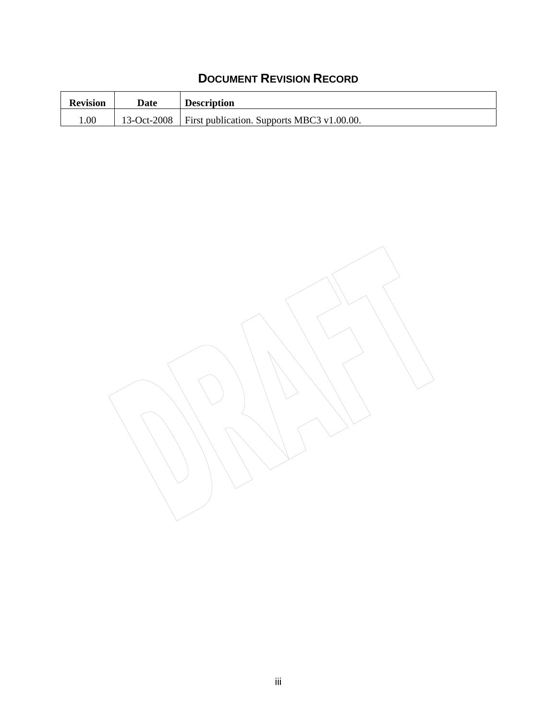# **DOCUMENT REVISION RECORD**

| <b>Revision</b> | Date        | <b>Description</b>                         |
|-----------------|-------------|--------------------------------------------|
| 00.1            | 13-Oct-2008 | First publication. Supports MBC3 v1.00.00. |

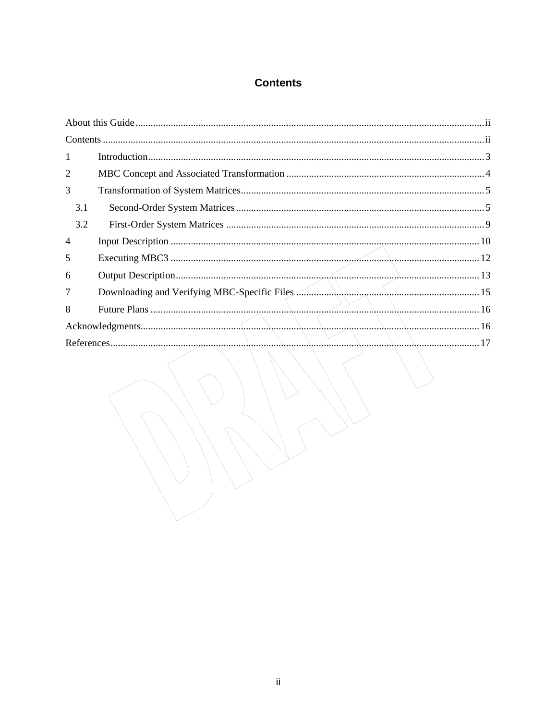# **Contents**

<span id="page-3-0"></span>

| $\mathbf{1}$   |                                    |  |
|----------------|------------------------------------|--|
| $\overline{2}$ |                                    |  |
| 3              |                                    |  |
| 3.1            |                                    |  |
| 3.2            |                                    |  |
| $\overline{4}$ |                                    |  |
| 5              |                                    |  |
| 6              |                                    |  |
| 7              |                                    |  |
| 8              |                                    |  |
|                |                                    |  |
|                |                                    |  |
|                | $\sim$ $\sim$ $\sim$ $\sim$ $\sim$ |  |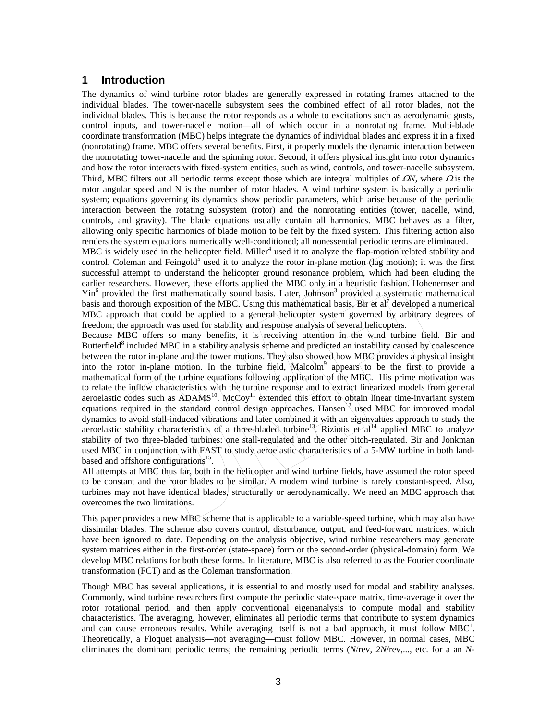#### <span id="page-4-0"></span>**1 Introduction**

The dynamics of wind turbine rotor blades are generally expressed in rotating frames attached to the individual blades. The tower-nacelle subsystem sees the combined effect of all rotor blades, not the individual blades. This is because the rotor responds as a whole to excitations such as aerodynamic gusts, control inputs, and tower-nacelle motion—all of which occur in a nonrotating frame. Multi-blade coordinate transformation (MBC) helps integrate the dynamics of individual blades and express it in a fixed (nonrotating) frame. MBC offers several benefits. First, it properly models the dynamic interaction between the nonrotating tower-nacelle and the spinning rotor. Second, it offers physical insight into rotor dynamics and how the rotor interacts with fixed-system entities, such as wind, controls, and tower-nacelle subsystem. Third, MBC filters out all periodic terms except those which are integral multiples of  $\Omega$ <sup>N</sup>, where  $\Omega$  is the rotor angular speed and N is the number of rotor blades. A wind turbine system is basically a periodic system; equations governing its dynamics show periodic parameters, which arise because of the periodic interaction between the rotating subsystem (rotor) and the nonrotating entities (tower, nacelle, wind, controls, and gravity). The blade equations usually contain all harmonics. MBC behaves as a filter, allowing only specific harmonics of blade motion to be felt by the fixed system. This filtering action also renders the system equations numerically well-conditioned; all nonessential periodic terms are eliminated.

MBC is widely used in the helicopter field. Miller<sup>4</sup> used it to analyze the flap-motion related stability and control. Coleman and Feingold<sup>5</sup> used it to analyze the rotor in-plane motion (lag motion); it was the first successful attempt to understand the helicopter ground resonance problem, which had been eluding the earlier researchers. However, these efforts applied the MBC only in a heuristic fashion. Hohenemser and Yin<sup>6</sup> provided the first mathematically sound basis. Later, Johnson<sup>3</sup> provided a systematic mathematical basis and thorough exposition of the MBC. Using this mathematical basis, Bir et all developed a numerical MBC approach that could be applied to a general helicopter system governed by arbitrary degrees of freedom; the approach was used for stability and response analysis of several helicopters.

Because MBC offers so many benefits, it is receiving attention in the wind turbine field. Bir and Butterfield<sup>8</sup> included MBC in a stability analysis scheme and predicted an instability caused by coalescence between the rotor in-plane and the tower motions. They also showed how MBC provides a physical insight into the rotor in-plane motion. In the turbine field, Malcolm<sup>9</sup> appears to be the first to provide a mathematical form of the turbine equations following application of the MBC. His prime motivation was to relate the inflow characteristics with the turbine response and to extract linearized models from general aeroelastic codes such as ADAMS<sup>10</sup>. McCoy<sup>11</sup> extended this effort to obtain linear time-invariant system equations required in the standard control design approaches. Hansen<sup>12</sup> used MBC for improved modal dynamics to avoid stall-induced vibrations and later combined it with an eigenvalues approach to study the aeroelastic stability characteristics of a three-bladed turbine<sup>13</sup>. Riziotis et al<sup>14</sup> applied MBC to analyze stability of two three-bladed turbines: one stall-regulated and the other pitch-regulated. Bir and Jonkman used MBC in conjunction with FAST to study aeroelastic characteristics of a 5-MW turbine in both landbased and offshore configurations<sup>15</sup>.

All attempts at MBC thus far, both in the helicopter and wind turbine fields, have assumed the rotor speed to be constant and the rotor blades to be similar. A modern wind turbine is rarely constant-speed. Also, turbines may not have identical blades, structurally or aerodynamically. We need an MBC approach that overcomes the two limitations.

This paper provides a new MBC scheme that is applicable to a variable-speed turbine, which may also have dissimilar blades. The scheme also covers control, disturbance, output, and feed-forward matrices, which have been ignored to date. Depending on the analysis objective, wind turbine researchers may generate system matrices either in the first-order (state-space) form or the second-order (physical-domain) form. We develop MBC relations for both these forms. In literature, MBC is also referred to as the Fourier coordinate transformation (FCT) and as the Coleman transformation.

Though MBC has several applications, it is essential to and mostly used for modal and stability analyses. Commonly, wind turbine researchers first compute the periodic state-space matrix, time-average it over the rotor rotational period, and then apply conventional eigenanalysis to compute modal and stability characteristics. The averaging, however, eliminates all periodic terms that contribute to system dynamics and can cause erroneous results. While averaging itself is not a bad approach, it must follow  $MBC<sup>1</sup>$ . Theoretically, a Floquet analysis—not averaging—must follow MBC. However, in normal cases, MBC eliminates the dominant periodic terms; the remaining periodic terms (*N*/rev, *2N*/rev,..., etc. for a an *N*-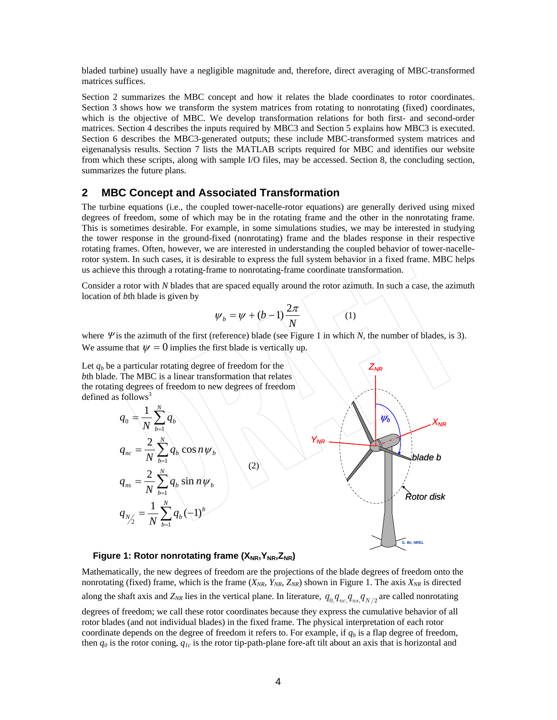<span id="page-5-0"></span>bladed turbine) usually have a negligible magnitude and, therefore, direct averaging of MBC-transformed matrices suffices.

Section 2 summarizes the MBC concept and how it relates the blade coordinates to rotor coordinates. Section 3 shows how we transform the system matrices from rotating to nonrotating (fixed) coordinates, which is the objective of MBC. We develop transformation relations for both first- and second-order matrices. Section 4 describes the inputs required by MBC3 and Section 5 explains how MBC3 is executed. Section 6 describes the MBC3-generated outputs; these include MBC-transformed system matrices and eigenanalysis results. Section 7 lists the MATLAB scripts required for MBC and identifies our website from which these scripts, along with sample I/O files, may be accessed. Section 8, the concluding section, summarizes the future plans.

#### **2 MBC Concept and Associated Transformation**

The turbine equations (i.e., the coupled tower-nacelle-rotor equations) are generally derived using mixed degrees of freedom, some of which may be in the rotating frame and the other in the nonrotating frame. This is sometimes desirable. For example, in some simulations studies, we may be interested in studying the tower response in the ground-fixed (nonrotating) frame and the blades response in their respective rotating frames. Often, however, we are interested in understanding the coupled behavior of tower-nacellerotor system. In such cases, it is desirable to express the full system behavior in a fixed frame. MBC helps us achieve this through a rotating-frame to nonrotating-frame coordinate transformation.

Consider a rotor with *N* blades that are spaced equally around the rotor azimuth. In such a case, the azimuth location of *b*th blade is given by

$$
\psi_b = \psi + (b-1)\frac{2\pi}{N} \qquad (1)
$$

*ZNR*

where *Ψ* is the azimuth of the first (reference) blade (see Figure 1 in which  $N$ , the number of blades, is 3). We assume that  $\psi = 0$  implies the first blade is vertically up.

Let  $q_b$  be a particular rotating degree of freedom for the *b*th blade. The MBC is a linear transformation that relates the rotating degrees of freedom to new degrees of freedom defined as  $f_0$ llows<sup>3</sup>



#### **Figure 1: Rotor nonrotating frame (X<sub>NR</sub>, Y<sub>NR</sub>, Z<sub>NR</sub>)**

Mathematically, the new degrees of freedom are the projections of the blade degrees of freedom onto the nonrotating (fixed) frame, which is the frame  $(X_{NR}, Y_{NR}, Z_{NR})$  shown in Figure 1. The axis  $X_{NR}$  is directed along the shaft axis and  $Z_{NR}$  lies in the vertical plane. In literature,  $q_{0.}q_{nc}q_{ns}q_{N/2}$  are called nonrotating

degrees of freedom; we call these rotor coordinates because they express the cumulative behavior of all rotor blades (and not individual blades) in the fixed frame. The physical interpretation of each rotor coordinate depends on the degree of freedom it refers to. For example, if  $q<sub>b</sub>$  is a flap degree of freedom, then *q0* is the rotor coning, *q1c* is the rotor tip-path-plane fore-aft tilt about an axis that is horizontal and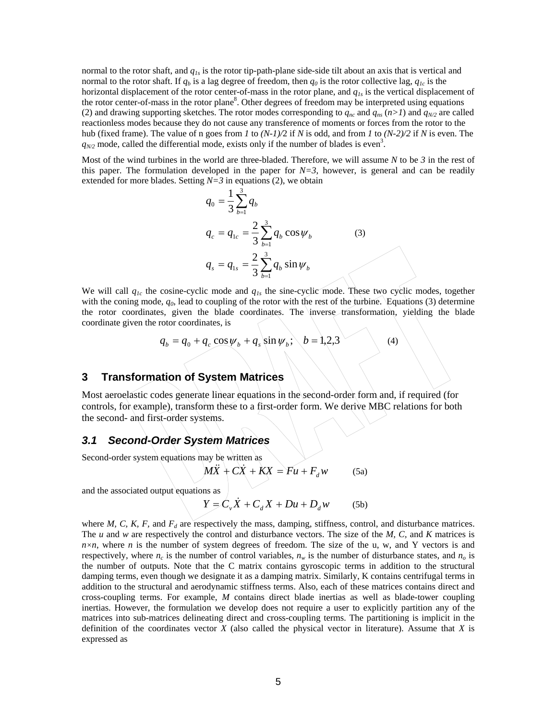<span id="page-6-0"></span>normal to the rotor shaft, and *q1s* is the rotor tip-path-plane side-side tilt about an axis that is vertical and normal to the rotor shaft. If  $q_b$  is a lag degree of freedom, then  $q_0$  is the rotor collective lag,  $q_{1c}$  is the horizontal displacement of the rotor center-of-mass in the rotor plane, and  $q_{1s}$  is the vertical displacement of the rotor center-of-mass in the rotor plane<sup>8</sup>. Other degrees of freedom may be interpreted using equations (2) and drawing supporting sketches. The rotor modes corresponding to  $q_{nc}$  and  $q_{ns}$  ( $n>1$ ) and  $q_{N2}$  are called reactionless modes because they do not cause any transference of moments or forces from the rotor to the hub (fixed frame). The value of n goes from *1* to *(N-1)/*2 if *N* is odd, and from *1* to *(N-2)/2* if *N* is even. The  $q_{N/2}$  mode, called the differential mode, exists only if the number of blades is even<sup>3</sup>.

Most of the wind turbines in the world are three-bladed. Therefore, we will assume *N* to be *3* in the rest of this paper. The formulation developed in the paper for  $N=3$ , however, is general and can be readily extended for more blades. Setting  $N=3$  in equations (2), we obtain

$$
q_0 = \frac{1}{3} \sum_{b=1}^{3} q_b
$$
  
\n
$$
q_c = q_{1c} = \frac{2}{3} \sum_{b=1}^{3} q_b \cos \psi_b
$$
 (3)  
\n
$$
q_s = q_{1s} = \frac{2}{3} \sum_{b=1}^{3} q_b \sin \psi_b
$$

We will call *q1c* the cosine-cyclic mode and *q1s* the sine-cyclic mode. These two cyclic modes, together with the coning mode,  $q_0$ , lead to coupling of the rotor with the rest of the turbine. Equations (3) determine the rotor coordinates, given the blade coordinates. The inverse transformation, yielding the blade coordinate given the rotor coordinates, is

$$
q_b = q_0 + q_c \cos \psi_b + q_s \sin \psi_b; \quad b = 1,2,3 \tag{4}
$$

#### **3 Transformation of System Matrices**

Most aeroelastic codes generate linear equations in the second-order form and, if required (for controls, for example), transform these to a first-order form. We derive MBC relations for both the second- and first-order systems.

#### *3.1 Second-Order System Matrices*

Second-order system equations may be written as

$$
M\ddot{X} + C\dot{X} + kX = Fu + F_d w \qquad (5a)
$$

and the associated output equations as

$$
Y = C_v \dot{X} + C_d X + Du + D_d w \qquad (5b)
$$

where  $M$ ,  $C$ ,  $K$ ,  $F$ , and  $F<sub>d</sub>$  are respectively the mass, damping, stiffness, control, and disturbance matrices. The *u* and *w* are respectively the control and disturbance vectors. The size of the *M, C,* and *K* matrices is  $n \times n$ , where *n* is the number of system degrees of freedom. The size of the u, w, and Y vectors is and respectively, where  $n_c$  is the number of control variables,  $n_w$  is the number of disturbance states, and  $n_o$  is the number of outputs. Note that the C matrix contains gyroscopic terms in addition to the structural damping terms, even though we designate it as a damping matrix. Similarly, K contains centrifugal terms in addition to the structural and aerodynamic stiffness terms. Also, each of these matrices contains direct and cross-coupling terms. For example, *M* contains direct blade inertias as well as blade-tower coupling inertias. However, the formulation we develop does not require a user to explicitly partition any of the matrices into sub-matrices delineating direct and cross-coupling terms. The partitioning is implicit in the definition of the coordinates vector *X* (also called the physical vector in literature). Assume that *X* is expressed as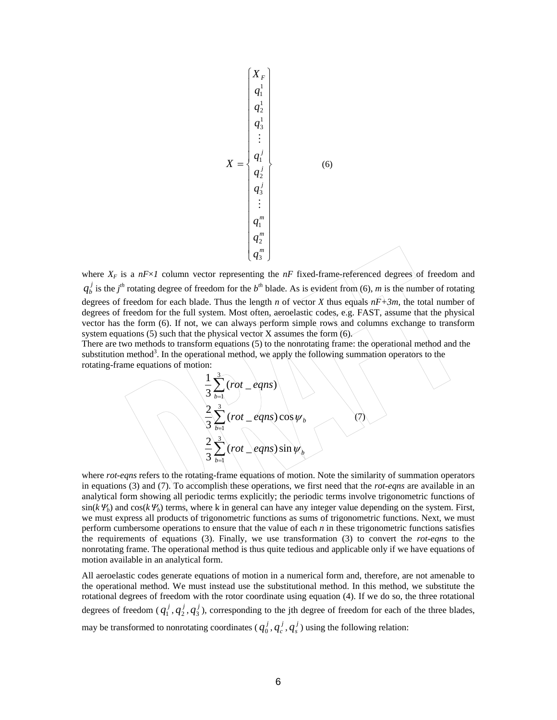$$
X = \begin{pmatrix} X_F \\ q_1^1 \\ q_2^1 \\ q_3^1 \\ \vdots \\ q_l^j \\ q_3^j \\ \vdots \\ q_3^j \\ \vdots \\ q_1^m \\ q_2^m \\ \vdots \\ q_3^m \\ \vdots \\ q_3^m \end{pmatrix}
$$
 (6)

where  $X_F$  is a  $nF \times I$  column vector representing the  $nF$  fixed-frame-referenced degrees of freedom and  $q_b^j$  is the *j*<sup>th</sup> rotating degree of freedom for the *b*<sup>th</sup> blade. As is evident from (6), *m* is the number of rotating degrees of freedom for each blade. Thus the length *n* of vector *X* thus equals  $nF+3m$ , the total number of degrees of freedom for the full system. Most often, aeroelastic codes, e.g. FAST, assume that the physical vector has the form (6). If not, we can always perform simple rows and columns exchange to transform system equations (5) such that the physical vector  $X$  assumes the form  $(6)$ .

There are two methods to transform equations (5) to the nonrotating frame: the operational method and the substitution method<sup>3</sup>. In the operational method, we apply the following summation operators to the rotating-frame equations of motion:

$$
\frac{1}{3}\sum_{b=1}^{3}(rot - eqns)
$$
  

$$
\frac{2}{3}\sum_{b=1}^{3}(rot - eqns)\cos \psi_{b}
$$
  

$$
\frac{2}{3}\sum_{b=1}^{3}(rot - eqns)\sin \psi_{b}
$$
 (7)

where *rot-eqns* refers to the rotating-frame equations of motion. Note the similarity of summation operators in equations (3) and (7). To accomplish these operations, we first need that the *rot-eqns* are available in an analytical form showing all periodic terms explicitly; the periodic terms involve trigonometric functions of  $sin(k \Psi_b)$  and  $cos(k \Psi_b)$  terms, where k in general can have any integer value depending on the system. First, we must express all products of trigonometric functions as sums of trigonometric functions. Next, we must perform cumbersome operations to ensure that the value of each *n* in these trigonometric functions satisfies the requirements of equations (3). Finally, we use transformation (3) to convert the *rot-eqns* to the nonrotating frame. The operational method is thus quite tedious and applicable only if we have equations of motion available in an analytical form.

All aeroelastic codes generate equations of motion in a numerical form and, therefore, are not amenable to the operational method. We must instead use the substitutional method. In this method, we substitute the rotational degrees of freedom with the rotor coordinate using equation (4). If we do so, the three rotational degrees of freedom ( $q_1^j$ ,  $q_2^j$ ,  $q_3^j$ ), corresponding to the jth degree of freedom for each of the three blades, may be transformed to nonrotating coordinates ( $q_0^j$ ,  $q_c^j$ ,  $q_s^j$ ) using the following relation: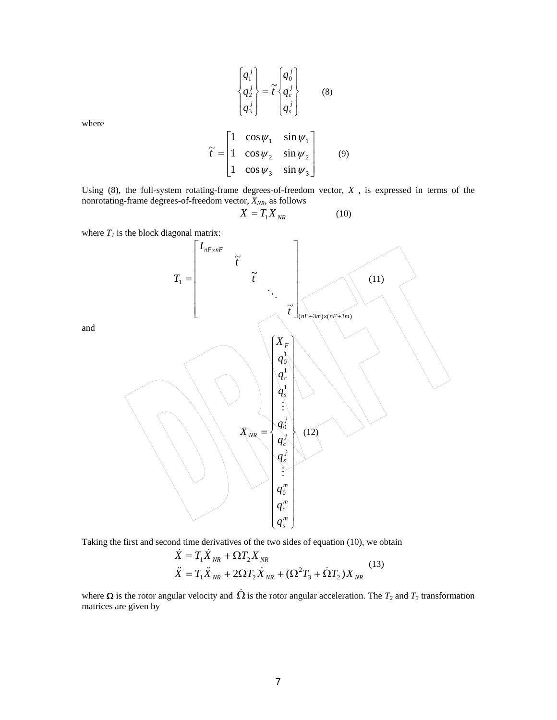$$
\begin{Bmatrix} q_1^j \\ q_2^j \\ q_3^j \end{Bmatrix} = \tilde{t} \begin{Bmatrix} q_0^j \\ q_c^j \\ q_s^j \end{Bmatrix}
$$
 (8)

where

$$
\tilde{t} = \begin{bmatrix} 1 & \cos \psi_1 & \sin \psi_1 \\ 1 & \cos \psi_2 & \sin \psi_2 \\ 1 & \cos \psi_3 & \sin \psi_3 \end{bmatrix}
$$
(9)

Using (8), the full-system rotating-frame degrees-of-freedom vector, *X* , is expressed in terms of the nonrotating-frame degrees-of-freedom vector,  $X_{NR}$ , as follows

$$
X = T_1 X_{NR} \tag{10}
$$

where  $T<sub>l</sub>$  is the block diagonal matrix:



Taking the first and second time derivatives of the two sides of equation (10), we obtain

$$
\dot{X} = T_1 \dot{X}_{NR} + \Omega T_2 X_{NR} \n\ddot{X} = T_1 \ddot{X}_{NR} + 2\Omega T_2 \dot{X}_{NR} + (\Omega^2 T_3 + \dot{\Omega} T_2) X_{NR}
$$
\n(13)

where  $\Omega$  is the rotor angular velocity and  $\dot{\Omega}$  is the rotor angular acceleration. The  $T_2$  and  $T_3$  transformation matrices are given by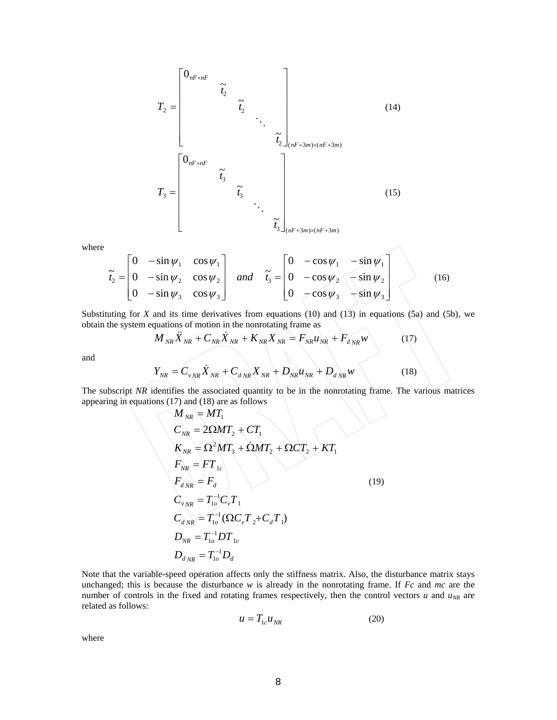$$
T_{2} = \begin{bmatrix} 0_{nF \times nF} & & & & \\ & \tilde{t}_{2} & & & \\ & & \ddots & & \\ & & & \tilde{t}_{2} \end{bmatrix}_{(nF+3m) \times (nF+3m)}
$$
(14)  

$$
T_{3} = \begin{bmatrix} 0_{nF \times nF} & & & \\ & \tilde{t}_{3} & & \\ & & \tilde{t}_{3} & \\ & & & \ddots & \\ & & & & \tilde{t}_{3} \end{bmatrix}_{(nF+3m) \times (nF+3m)}
$$
(15)

where

$$
\tilde{t}_2 = \begin{bmatrix} 0 & -\sin \psi_1 & \cos \psi_1 \\ 0 & -\sin \psi_2 & \cos \psi_2 \\ 0 & -\sin \psi_3 & \cos \psi_3 \end{bmatrix} \text{ and } \tilde{t}_3 = \begin{bmatrix} 0 & -\cos \psi_1 & -\sin \psi_1 \\ 0 & -\cos \psi_2 & \sin \psi_2 \\ 0 & -\cos \psi_3 & \sin \psi_3 \end{bmatrix}
$$
 (16)

Substituting for *X* and its time derivatives from equations  $(10)$  and  $(13)$  in equations  $(5a)$  and  $(5b)$ , we obtain the system equations of motion in the nonrotating frame as

$$
M_{NR}\ddot{X}_{NR} + C_{NR}\dot{X}_{NR} + K_{NR}X_{NR} = F_{NR}u_{NR} + F_{dNR}w
$$
 (17)

and

$$
Y_{NR} = C_{v_{NR}} \dot{X}_{NR} + C_{dNR} X_{NR} + D_{NR} u_{NR} + D_{dNR} w
$$
 (18)

The subscript *NR* identifies the associated quantity to be in the nonrotating frame. The various matrices appearing in equations (17) and (18) are as follows

$$
M_{NR} = MT_{1}
$$
  
\n
$$
C_{NR} = 2\Omega MT_{2} + CT_{1}
$$
  
\n
$$
K_{NR} = \Omega^{2} MT_{3} + \Omega MT_{2} + \Omega CT_{2} + KT_{1}
$$
  
\n
$$
F_{NR} = FT_{1c}
$$
  
\n
$$
F_{dNR} = T_{1o}^{-1}C_{\nu}T_{1}
$$
  
\n
$$
C_{dNR} = T_{1o}^{-1}(\Omega C_{\nu}T_{2} + C_{d}T_{1})
$$
  
\n
$$
D_{NR} = T_{1o}^{-1}DT_{1c}
$$
  
\n
$$
D_{dNR} = T_{1o}^{-1}D T_{1c}
$$
  
\n(19)

Note that the variable-speed operation affects only the stiffness matrix. Also, the disturbance matrix stays unchanged; this is because the disturbance *w* is already in the nonrotating frame. If *Fc* and *mc* are the number of controls in the fixed and rotating frames respectively, then the control vectors  $u$  and  $u_{NR}$  are related as follows:

$$
u = T_{1c} u_{NR} \tag{20}
$$

where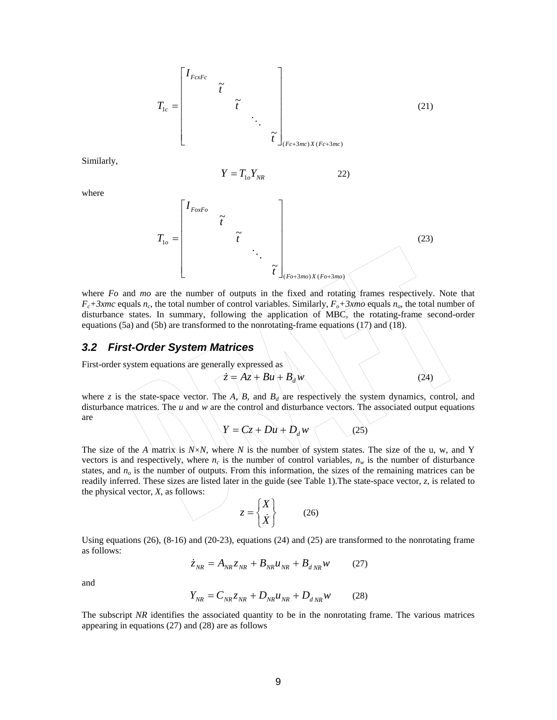<span id="page-10-0"></span>
$$
T_{1c} = \begin{bmatrix} I_{FcxFc} & & & & \\ & \tilde{t} & & & \\ & & \tilde{t} & & \\ & & & \ddots & \\ & & & & \tilde{t} \end{bmatrix}_{(Fc+3mc)X(Fc+3mc)} \tag{21}
$$

Similarly,

$$
Y = T_{1o} Y_{NR} \tag{22}
$$

where

$$
T_{1o} = \begin{bmatrix} I_{\text{ForFo}} & & & \\ & \tilde{t} & & \\ & & \ddots & \\ & & & \tilde{t} \end{bmatrix}_{(Fo+3mo)X(Fo+3mo)}
$$
 (23)

where *Fo* and *mo* are the number of outputs in the fixed and rotating frames respectively. Note that  $F_c+3xmc$  equals  $n_c$ , the total number of control variables. Similarly,  $F_o+3xmc$  equals  $n_o$ , the total number of disturbance states. In summary, following the application of MBC, the rotating-frame second-order equations (5a) and (5b) are transformed to the nonrotating-frame equations (17) and (18).

#### *3.2 First-Order System Matrices*

First-order system equations are generally expressed as

 $\angle z = Az + Bu + B_dw$  (24)

where *z* is the state-space vector. The  $A_i/B$ , and  $B_d$  are respectively the system dynamics, control, and disturbance matrices. The *u* and *w* are the control and disturbance vectors. The associated output equations are

$$
Y = Cz + Du + D_d w
$$
 (25)

The size of the *A* matrix is  $N \times N$ , where *N* is the number of system states. The size of the u, w, and Y vectors is and respectively, where  $n_c$  is the number of control variables,  $n_w$  is the number of disturbance states, and  $n<sub>o</sub>$  is the number of outputs. From this information, the sizes of the remaining matrices can be readily inferred. These sizes are listed later in the guide (see Table 1).The state-space vector, *z*, is related to the physical vector, *X*, as follows:

$$
z = \begin{Bmatrix} X \\ \dot{X} \end{Bmatrix}
$$
 (26)

Using equations (26), (8-16) and (20-23), equations (24) and (25) are transformed to the nonrotating frame as follows:

$$
\dot{z}_{NR} = A_{NR} z_{NR} + B_{NR} u_{NR} + B_{d\,NR} w \tag{27}
$$

and

$$
Y_{NR} = C_{NR} z_{NR} + D_{NR} u_{NR} + D_{d\,NR} w \qquad (28)
$$

The subscript *NR* identifies the associated quantity to be in the nonrotating frame. The various matrices appearing in equations (27) and (28) are as follows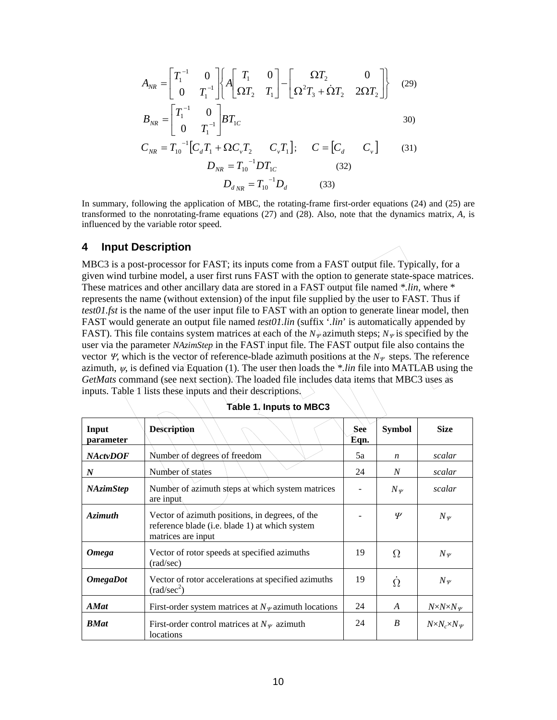<span id="page-11-0"></span>
$$
A_{NR} = \begin{bmatrix} T_1^{-1} & 0 \\ 0 & T_1^{-1} \end{bmatrix} \begin{bmatrix} A \begin{bmatrix} T_1 & 0 \\ \Omega T_2 & T_1 \end{bmatrix} - \begin{bmatrix} \Omega T_2 & 0 \\ \Omega^2 T_3 + \dot{\Omega} T_2 & 2\Omega T_2 \end{bmatrix} \end{bmatrix}
$$
(29)  
\n
$$
B_{NR} = \begin{bmatrix} T_1^{-1} & 0 \\ 0 & T_1^{-1} \end{bmatrix} B T_{1C}
$$
30)  
\n
$$
C_{NR} = T_{10}^{-1} [C_d T_1 + \Omega C_v T_2 \quad C_v T_1]; \quad C = [C_d \quad C_v]
$$
(31)  
\n
$$
D_{NR} = T_{10}^{-1} D T_{1C}
$$
(32)  
\n
$$
D_{d_{NR}} = T_{10}^{-1} D_d
$$
(33)

In summary, following the application of MBC, the rotating-frame first-order equations (24) and (25) are transformed to the nonrotating-frame equations (27) and (28). Also, note that the dynamics matrix, *A*, is influenced by the variable rotor speed.

#### **4 Input Description**

MBC3 is a post-processor for FAST; its inputs come from a FAST output file. Typically, for a given wind turbine model, a user first runs FAST with the option to generate state-space matrices. These matrices and other ancillary data are stored in a FAST output file named *\*.lin*, where \* represents the name (without extension) of the input file supplied by the user to FAST. Thus if *test01.fst* is the name of the user input file to FAST with an option to generate linear model, then FAST would generate an output file named *test01.lin* (suffix '*.lin*' is automatically appended by FAST). This file contains system matrices at each of the  $N_{\nu}$  azimuth steps;  $N_{\nu}$  is specified by the user via the parameter *NAzimStep* in the FAST input file. The FAST output file also contains the vector *Ψ*, which is the vector of reference-blade azimuth positions at the  $N_\nu$  steps. The reference azimuth,  $\psi$ , is defined via Equation (1). The user then loads the *\*.lin* file into MATLAB using the *GetMats* command (see next section). The loaded file includes data items that MBC3 uses as inputs. Table 1 lists these inputs and their descriptions.

| Input<br>parameter     | <b>Description</b>                                                                                                      | <b>See</b><br>Eqn. | <b>Symbol</b>    | <b>Size</b>                    |
|------------------------|-------------------------------------------------------------------------------------------------------------------------|--------------------|------------------|--------------------------------|
| <b>NActvDOF</b>        | Number of degrees of freedom                                                                                            | 5a                 | $\boldsymbol{n}$ | scalar                         |
| $\boldsymbol{N}$       | Number of states                                                                                                        | 24                 | N                | scalar                         |
| <b>NAzimStep</b>       | Number of azimuth steps at which system matrices<br>are input                                                           |                    | $N_{\varPsi}$    | scalar                         |
| <b>Azimuth</b>         | Vector of azimuth positions, in degrees, of the<br>reference blade (i.e. blade 1) at which system<br>matrices are input |                    | $\psi$           | $N_{\varPsi}$                  |
| <b>Omega</b>           | Vector of rotor speeds at specified azimuths<br>$\text{(rad/sec)}$                                                      | 19                 | $\Omega$         | $N_{\varPsi}$                  |
| <i><b>OmegaDot</b></i> | Vector of rotor accelerations at specified azimuths<br>$\text{(rad/sec}^2\text{)}$                                      | 19                 | $\Omega$         | $N_{\Psi}$                     |
| <b>AMat</b>            | First-order system matrices at $N_{\varphi}$ azimuth locations                                                          | 24                 | $\boldsymbol{A}$ | $N \times N \times N_{\Psi}$   |
| <b>BMat</b>            | First-order control matrices at $N_{\nu}$ azimuth<br>locations                                                          | 24                 | B                | $N \times N_c \times N_{\Psi}$ |

**Table 1. Inputs to MBC3**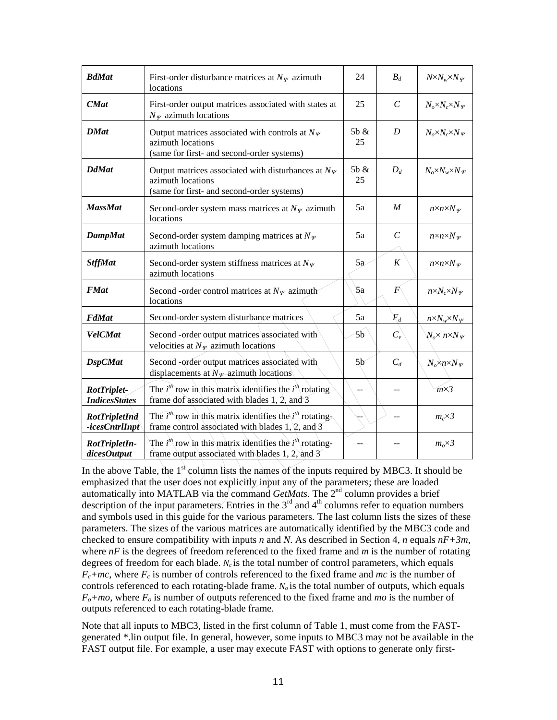| <b>BdMat</b>                               | First-order disturbance matrices at $N_{\varphi}$ azimuth<br>locations                                                           | 24             | $B_d$                 | $N \times N_w \times N_\Psi$        |
|--------------------------------------------|----------------------------------------------------------------------------------------------------------------------------------|----------------|-----------------------|-------------------------------------|
| <b>CMat</b>                                | First-order output matrices associated with states at<br>$N_{\varPsi}$ azimuth locations                                         | 25             | $\mathcal{C}_{0}^{0}$ | $N_o \times N_c \times N_\Psi$      |
| <b>DMat</b>                                | Output matrices associated with controls at $N_{\varPsi}$<br>azimuth locations<br>(same for first- and second-order systems)     | 5b &<br>25     | D                     | $N_o \times N_c \times N_\Psi$      |
| <b>DdMat</b>                               | Output matrices associated with disturbances at $N_{\varPsi}$<br>azimuth locations<br>(same for first- and second-order systems) | 5b &<br>25     | $D_d$                 | $N_o \times N_w \times N_\Psi$      |
| <b>MassMat</b>                             | Second-order system mass matrices at $N_{\varphi}$ azimuth<br>locations                                                          | 5a             | $\boldsymbol{M}$      | $n \times n \times N_{\psi}$        |
| <b>DampMat</b>                             | Second-order system damping matrices at $N_{\varPsi}$<br>azimuth locations                                                       | 5a             | $\mathcal{C}_{0}^{0}$ | $n \times n \times N_{\psi}$        |
| <b>StffMat</b>                             | Second-order system stiffness matrices at $N_{\varPsi}$<br>azimuth locations                                                     | 5a             | K                     | $n \times n \times N_{\mathcal{V}}$ |
| <b>FMat</b>                                | Second -order control matrices at $N_{\mathcal{V}}$ azimuth<br>locations                                                         | 5a             | $\boldsymbol{F}$      | $n \times N_c \times N_\Psi$        |
| <b>FdMat</b>                               | Second-order system disturbance matrices                                                                                         | 5a             | $F_d$                 | $n \times N_w \times N_\Psi$        |
| <b>VelCMat</b>                             | Second -order output matrices associated with<br>velocities at $N_{\varPsi}$ azimuth locations                                   | 5b             | $C_{\nu}$             | $N_o \times n \times N_{\varPsi}$   |
| <b>DspCMat</b>                             | Second -order output matrices associated with<br>displacements at $N_{\mathcal{Y}}$ -azimuth locations                           | 5 <sub>b</sub> | $C_d$                 | $N_o \times n \times N_\Psi$        |
| <b>RotTriplet-</b><br><b>IndicesStates</b> | The $i^{th}$ row in this matrix identifies the $i^{th}$ rotating<br>frame dof associated with blades 1, 2, and 3                 |                |                       | $m\times3$                          |
| <b>RotTripletInd</b><br>-icesCntrlInpt     | The $i^{th}$ row in this matrix identifies the $i^{th}$ rotating-<br>frame control associated with blades $1, 2,$ and 3          |                |                       | $m_c \times 3$                      |
| RotTripletIn-<br>dicesOutput               | The $i^{th}$ row in this matrix identifies the $i^{th}$ rotating-<br>frame output associated with blades 1, 2, and 3             |                |                       | $m_o \times 3$                      |

In the above Table, the  $1<sup>st</sup>$  column lists the names of the inputs required by MBC3. It should be emphasized that the user does not explicitly input any of the parameters; these are loaded automatically into MATLAB via the command *GetMats*. The 2<sup>nd</sup> column provides a brief description of the input parameters. Entries in the  $3<sup>rd</sup>$  and  $4<sup>th</sup>$  columns refer to equation numbers and symbols used in this guide for the various parameters. The last column lists the sizes of these parameters. The sizes of the various matrices are automatically identified by the MBC3 code and checked to ensure compatibility with inputs *n* and *N*. As described in Section 4, *n* equals *nF+3m*, where  $nF$  is the degrees of freedom referenced to the fixed frame and  $m$  is the number of rotating degrees of freedom for each blade.  $N_c$  is the total number of control parameters, which equals  $F_c$ +*mc*, where  $F_c$  is number of controls referenced to the fixed frame and *mc* is the number of controls referenced to each rotating-blade frame.  $N_o$  is the total number of outputs, which equals  $F_o + mo$ , where  $F_o$  is number of outputs referenced to the fixed frame and *mo* is the number of outputs referenced to each rotating-blade frame.

Note that all inputs to MBC3, listed in the first column of Table 1, must come from the FASTgenerated \*.lin output file. In general, however, some inputs to MBC3 may not be available in the FAST output file. For example, a user may execute FAST with options to generate only first-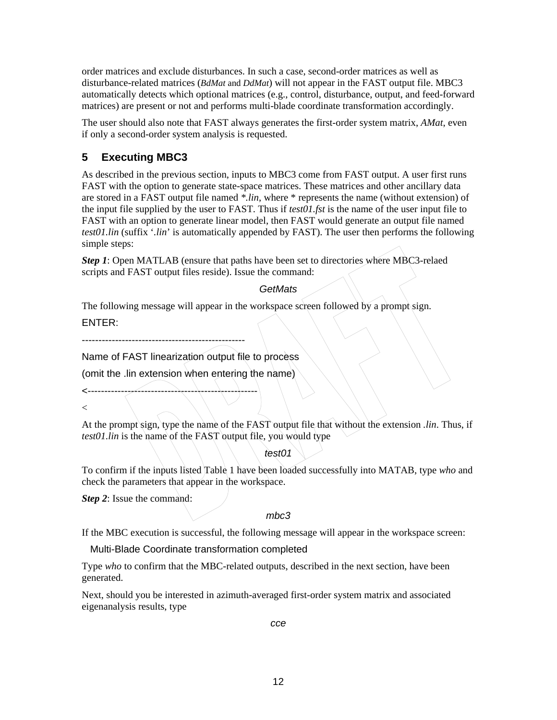<span id="page-13-0"></span>order matrices and exclude disturbances. In such a case, second-order matrices as well as disturbance-related matrices (*BdMat* and *DdMat*) will not appear in the FAST output file. MBC3 automatically detects which optional matrices (e.g., control, disturbance, output, and feed-forward matrices) are present or not and performs multi-blade coordinate transformation accordingly.

The user should also note that FAST always generates the first-order system matrix, *AMat*, even if only a second-order system analysis is requested.

#### **5 Executing MBC3**

As described in the previous section, inputs to MBC3 come from FAST output. A user first runs FAST with the option to generate state-space matrices. These matrices and other ancillary data are stored in a FAST output file named *\*.lin*, where \* represents the name (without extension) of the input file supplied by the user to FAST. Thus if *test01.fst* is the name of the user input file to FAST with an option to generate linear model, then FAST would generate an output file named *test01.lin* (suffix '*.lin*' is automatically appended by FAST). The user then performs the following simple steps:

*Step 1*: Open MATLAB (ensure that paths have been set to directories where MBC3-relaed scripts and FAST output files reside). Issue the command:

#### *GetMats*

The following message will appear in the workspace screen followed by a prompt sign.

ENTER:

-------------------------------------------------

<---------------------------------------------------

Name of FAST linearization output file to process

(omit the .lin extension when entering the name)

 $\lt$ 

At the prompt sign, type the name of the FAST output file that without the extension *.lin*. Thus, if *test01.lin* is the name of the FAST output file, you would type

*test01*

To confirm if the inputs listed Table 1 have been loaded successfully into MATAB, type *who* and check the parameters that appear in the workspace.

*Step 2*: Issue the command:

*mbc3*

If the MBC execution is successful, the following message will appear in the workspace screen:

Multi-Blade Coordinate transformation completed

Type *who* to confirm that the MBC-related outputs, described in the next section, have been generated.

Next, should you be interested in azimuth-averaged first-order system matrix and associated eigenanalysis results, type

*cce*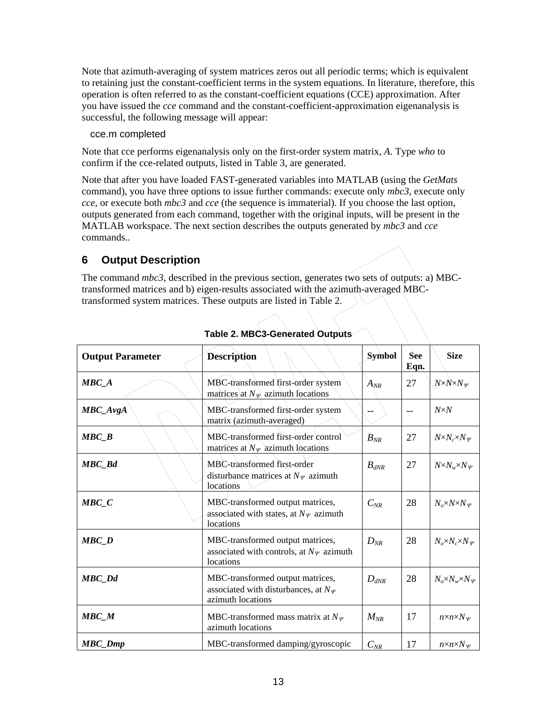<span id="page-14-0"></span>Note that azimuth-averaging of system matrices zeros out all periodic terms; which is equivalent to retaining just the constant-coefficient terms in the system equations. In literature, therefore, this operation is often referred to as the constant-coefficient equations (CCE) approximation. After you have issued the *cce* command and the constant-coefficient-approximation eigenanalysis is successful, the following message will appear:

cce.m completed

Note that cce performs eigenanalysis only on the first-order system matrix, *A*. Type *who* to confirm if the cce-related outputs, listed in Table 3, are generated.

Note that after you have loaded FAST-generated variables into MATLAB (using the *GetMats* command), you have three options to issue further commands: execute only *mbc3*, execute only *cce*, or execute both *mbc3* and *cce* (the sequence is immaterial). If you choose the last option, outputs generated from each command, together with the original inputs, will be present in the MATLAB workspace. The next section describes the outputs generated by *mbc3* and *cce* commands..

## **6 Output Description**

The command *mbc3*, described in the previous section, generates two sets of outputs: a) MBCtransformed matrices and b) eigen-results associated with the azimuth-averaged MBCtransformed system matrices. These outputs are listed in Table 2.

| <b>Output Parameter</b> | <b>Description</b>                                                                                      | Symbol    | <b>See</b><br>Eqn. | <b>Size</b>                         |
|-------------------------|---------------------------------------------------------------------------------------------------------|-----------|--------------------|-------------------------------------|
| $\textit{MBC}_A$        | MBC-transformed first-order system<br>matrices) at $N_{\mathcal{V}}$ azimuth locations                  | $A_{NR}$  | 27                 | $N \times N \times N_{\mathcal{V}}$ |
| MBC_AvgA                | MBC-transformed first-order system<br>matrix (azimuth-averaged)                                         |           |                    | $N \times N$                        |
| MBC B                   | MBC-transformed first-order control<br>matrices at $N_{\varPsi}$ azimuth locations                      | $B_{NR}$  | 27                 | $N \times N_c \times N_V$           |
| <b>MBC_Bd</b>           | MBC-transformed first-order<br>disturbance matrices at $N_{\mathcal{V}}$ azimuth<br>locations           | $B_{dNR}$ | 27                 | $N \times N_w \times N_W$           |
| $\textit{MBC}_C$        | MBC-transformed output matrices,<br>associated with states, at $N_{\varPsi}$ azimuth<br>locations       | $C_{NR}$  | 28                 | $N_o \times N \times N_\Psi$        |
| MBC                     | MBC-transformed output matrices,<br>associated with controls, at $N_{\varphi}$ azimuth<br>locations     | $D_{NR}$  | 28                 | $N_o \times N_c \times N_\Psi$      |
| <b>MBC</b> Dd           | MBC-transformed output matrices,<br>associated with disturbances, at $N_{\varPsi}$<br>azimuth locations | $D_{dNR}$ | 28                 | $N_o \times N_w \times N_\Psi$      |
| MBC M                   | MBC-transformed mass matrix at $N_{\varphi}$<br>azimuth locations                                       | $M_{NR}$  | 17                 | $n \times n \times N_{\psi}$        |
| <b>MBC_Dmp</b>          | MBC-transformed damping/gyroscopic                                                                      | $C_{NR}$  | 17                 | $n \times n \times N_{\psi}$        |

| Table 2. MBC3-Generated Outputs∕ |  |  |  |
|----------------------------------|--|--|--|
|                                  |  |  |  |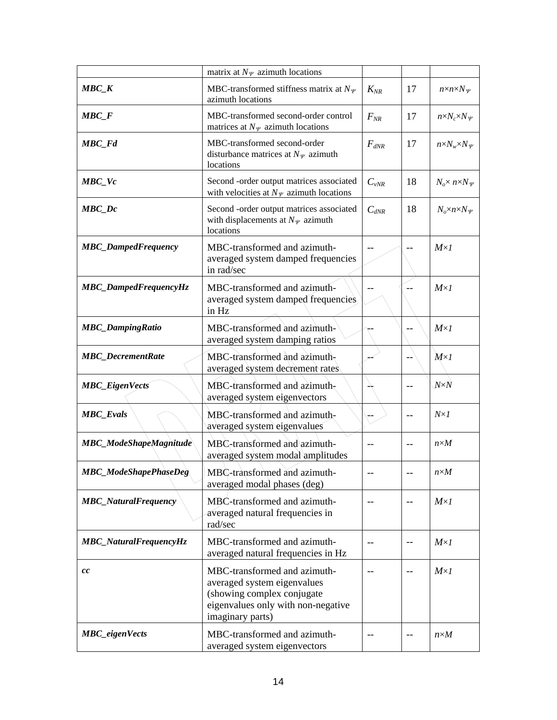|                               | matrix at $N_{\varPsi}$ azimuth locations                                                                                                           |           |                   |                                     |
|-------------------------------|-----------------------------------------------------------------------------------------------------------------------------------------------------|-----------|-------------------|-------------------------------------|
| $\textit{MBC\_K}$             | MBC-transformed stiffness matrix at $N_{\varPsi}$<br>azimuth locations                                                                              | $K_{NR}$  | 17                | $n \times n \times N_{\mathcal{V}}$ |
| $\textit{MBC}_F$              | MBC-transformed second-order control<br>matrices at $N_{\varPsi}$ azimuth locations                                                                 | $F_{NR}$  | 17                | $n \times N_c \times N_{\varphi}$   |
| MBC_Fd                        | MBC-transformed second-order<br>disturbance matrices at $N_{\varPsi}$ azimuth<br>locations                                                          | $F_{dNR}$ | 17                | $n \times N_w \times N_\Psi$        |
| $\textit{MBC}_\textit{Vc}$    | Second -order output matrices associated<br>with velocities at $N_{\varphi}$ azimuth locations                                                      | $C_{vNR}$ | 18                | $N_o \times n \times N_\Psi$        |
| $\textit{MBC\_Dc}$            | Second -order output matrices associated<br>with displacements at $N_{\varPsi}$ azimuth<br>locations                                                | $C_{dNR}$ | 18                | $N_o \times n \times N_\Psi$        |
| <b>MBC_DampedFrequency</b>    | MBC-transformed and azimuth-<br>averaged system damped frequencies<br>in rad/sec                                                                    | $- -$     |                   | $M \times I$                        |
| MBC_DampedFrequencyHz         | MBC-transformed and azimuth-<br>averaged system damped frequencies<br>in Hz                                                                         |           |                   | $M \times I$                        |
| <b>MBC_DampingRatio</b>       | MBC-transformed and azimuth-<br>averaged system damping ratios                                                                                      |           |                   | $M \times I$                        |
| <b>MBC_DecrementRate</b>      | MBC-transformed and azimuth-<br>averaged system decrement rates                                                                                     |           |                   | $M \times I$                        |
| <b>MBC_EigenVects</b>         | $MBC$ -transformed and azimuth-<br>averaged system eigenvectors                                                                                     |           | $-$               | $N \!\!\times\!\! N$                |
| <b>MBC_Evals</b>              | MBC-transformed and azimuth-<br>averaged system eigenvalues                                                                                         | $-$       | $-$               | $N \times I$                        |
| <b>MBC_ModeShapeMagnitude</b> | MBC-transformed and azimuth-<br>averaged system modal amplitudes                                                                                    | $-$       | $-$               | $n \times M$                        |
| MBC_ModeShapePhaseDeg         | MBC-transformed and azimuth-<br>averaged modal phases (deg)                                                                                         |           |                   | $n \times M$                        |
| <b>MBC_NaturalFrequency</b>   | MBC-transformed and azimuth-<br>averaged natural frequencies in<br>rad/sec                                                                          | $-$       | $\qquad \qquad -$ | $M \times I$                        |
| MBC_NaturalFrequencyHz        | MBC-transformed and azimuth-<br>averaged natural frequencies in Hz                                                                                  | $-$       | $\qquad \qquad -$ | $M \times I$                        |
| cc                            | MBC-transformed and azimuth-<br>averaged system eigenvalues<br>(showing complex conjugate<br>eigenvalues only with non-negative<br>imaginary parts) |           |                   | $M \times I$                        |
| <b>MBC_eigenVects</b>         | MBC-transformed and azimuth-<br>averaged system eigenvectors                                                                                        | $- -$     | $-\,-$            | $n \times M$                        |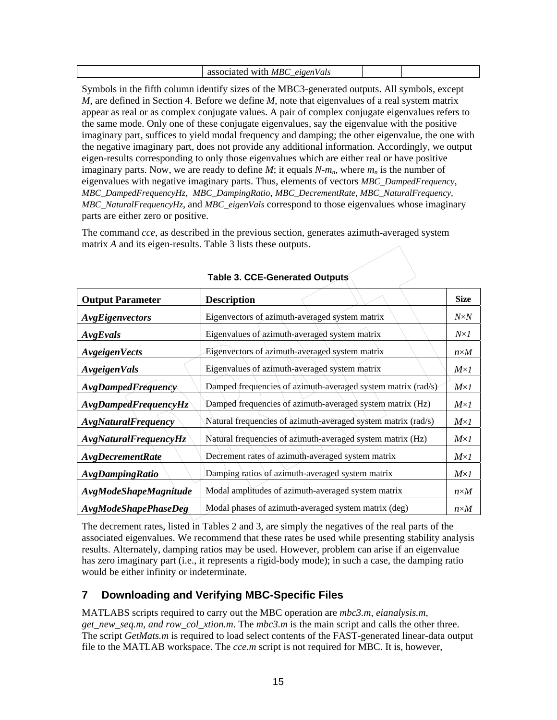<span id="page-16-0"></span>

| MR/<br>W1Tr<br>ч.<br>40.1 |  |  |  |
|---------------------------|--|--|--|
|---------------------------|--|--|--|

Symbols in the fifth column identify sizes of the MBC3-generated outputs. All symbols, except *M*, are defined in Section 4. Before we define *M*, note that eigenvalues of a real system matrix appear as real or as complex conjugate values. A pair of complex conjugate eigenvalues refers to the same mode. Only one of these conjugate eigenvalues, say the eigenvalue with the positive imaginary part, suffices to yield modal frequency and damping; the other eigenvalue, the one with the negative imaginary part, does not provide any additional information. Accordingly, we output eigen-results corresponding to only those eigenvalues which are either real or have positive imaginary parts. Now, we are ready to define  $M$ ; it equals  $N-m_n$ , where  $m_n$  is the number of eigenvalues with negative imaginary parts. Thus, elements of vectors *MBC\_DampedFrequency*, *MBC\_DampedFrequencyHz*, *MBC\_DampingRatio*, *MBC\_DecrementRate, MBC\_NaturalFrequency, MBC\_NaturalFrequencyHz*, and *MBC\_eigenVals* correspond to those eigenvalues whose imaginary parts are either zero or positive.

The command *cce*, as described in the previous section, generates azimuth-averaged system matrix *A* and its eigen-results. Table 3 lists these outputs.

| <b>Output Parameter</b>      | <b>Description</b>                                            | <b>Size</b>  |
|------------------------------|---------------------------------------------------------------|--------------|
| AvgEigenvectors              | Eigenvectors of azimuth-averaged system matrix                | $N \times N$ |
| AvgEvals                     | Eigenvalues of azimuth-averaged system matrix                 | $N \times I$ |
| <b>AvgeigenVects</b>         | Eigenvectors of azimuth-averaged system matrix                | $n \times M$ |
| <b>AvgeigenVals</b>          | Eigenvalues of azimuth-averaged system matrix                 | $M \times I$ |
| AvgDampedFrequency           | Damped frequencies of azimuth-averaged system matrix (rad/s)  | $M \times I$ |
| AvgDampedFrequencyHz         | Damped frequencies of azimuth-averaged system matrix (Hz)     | $M \times I$ |
| <b>AvgNaturalFrequency</b>   | Natural frequencies of azimuth-averaged system matrix (rad/s) | $M \times I$ |
| AvgNaturalFrequencyHz        | Natural frequencies of azimuth-averaged system matrix (Hz)    | $M \times I$ |
| <b>AvgDecrementRate</b>      | Decrement rates of azimuth-averaged system matrix             | $M \times I$ |
| <b>AvgDampingRatio</b>       | Damping ratios of azimuth-averaged system matrix              | $M \times I$ |
| <b>AvgModeShapeMagnitude</b> | Modal amplitudes of azimuth-averaged system matrix            | $n \times M$ |
| AvgModeShapePhaseDeg         | Modal phases of azimuth-averaged system matrix (deg)          | $n \times M$ |

**Table 3. CCE-Generated Outputs** 

The decrement rates, listed in Tables 2 and 3, are simply the negatives of the real parts of the associated eigenvalues. We recommend that these rates be used while presenting stability analysis results. Alternately, damping ratios may be used. However, problem can arise if an eigenvalue has zero imaginary part (i.e., it represents a rigid-body mode); in such a case, the damping ratio would be either infinity or indeterminate.

# **7 Downloading and Verifying MBC-Specific Files**

MATLABS scripts required to carry out the MBC operation are *mbc3.m*, *eianalysis.m, get\_new\_seq.m, and row\_col\_xtion.m*. The *mbc3.m* is the main script and calls the other three. The script *GetMats.m* is required to load select contents of the FAST-generated linear-data output file to the MATLAB workspace. The *cce.m* script is not required for MBC. It is, however,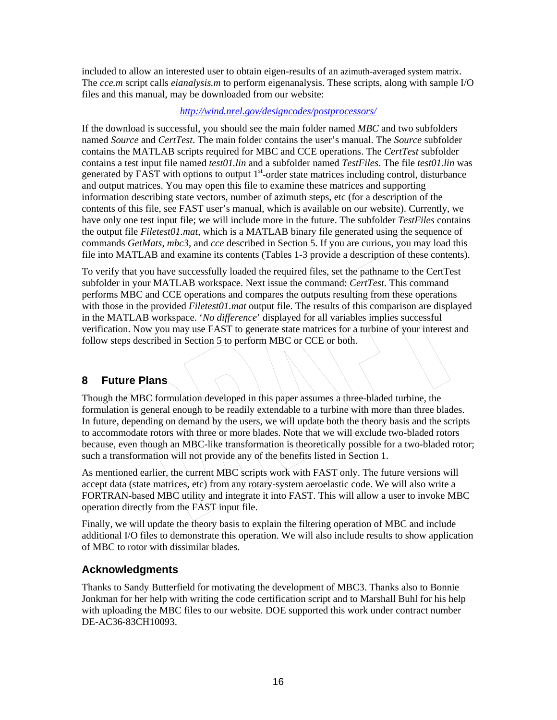<span id="page-17-0"></span>included to allow an interested user to obtain eigen-results of an azimuth-averaged system matrix. The *cce.m* script calls *eianalysis.m* to perform eigenanalysis. These scripts, along with sample I/O files and this manual, may be downloaded from our website:

#### *<http://wind.nrel.gov/designcodes/postprocessors/>*

If the download is successful, you should see the main folder named *MBC* and two subfolders named *Source* and *CertTest*. The main folder contains the user's manual. The *Source* subfolder contains the MATLAB scripts required for MBC and CCE operations. The *CertTest* subfolder contains a test input file named *test01.lin* and a subfolder named *TestFiles*. The file *test01.lin* was generated by FAST with options to output  $1<sup>st</sup>$ -order state matrices including control, disturbance and output matrices. You may open this file to examine these matrices and supporting information describing state vectors, number of azimuth steps, etc (for a description of the contents of this file, see FAST user's manual, which is available on our website). Currently, we have only one test input file; we will include more in the future. The subfolder *TestFiles* contains the output file *Filetest01.mat*, which is a MATLAB binary file generated using the sequence of commands *GetMats*, *mbc3*, and *cce* described in Section 5. If you are curious, you may load this file into MATLAB and examine its contents (Tables 1-3 provide a description of these contents).

To verify that you have successfully loaded the required files, set the pathname to the CertTest subfolder in your MATLAB workspace. Next issue the command: *CertTest*. This command performs MBC and CCE operations and compares the outputs resulting from these operations with those in the provided *Filetest01.mat* output file. The results of this comparison are displayed in the MATLAB workspace. '*No difference*' displayed for all variables implies successful verification. Now you may use FAST to generate state matrices for a turbine of your interest and follow steps described in Section 5 to perform MBC or CCE or both.

# **8 Future Plans**

Though the MBC formulation developed in this paper assumes a three-bladed turbine, the formulation is general enough to be readily extendable to a turbine with more than three blades. In future, depending on demand by the users, we will update both the theory basis and the scripts to accommodate rotors with three or more blades. Note that we will exclude two-bladed rotors because, even though an MBC-like transformation is theoretically possible for a two-bladed rotor; such a transformation will not provide any of the benefits listed in Section 1.

As mentioned earlier, the current MBC scripts work with FAST only. The future versions will accept data (state matrices, etc) from any rotary-system aeroelastic code. We will also write a FORTRAN-based MBC utility and integrate it into FAST. This will allow a user to invoke MBC operation directly from the FAST input file.

Finally, we will update the theory basis to explain the filtering operation of MBC and include additional I/O files to demonstrate this operation. We will also include results to show application of MBC to rotor with dissimilar blades.

#### **Acknowledgments**

Thanks to Sandy Butterfield for motivating the development of MBC3. Thanks also to Bonnie Jonkman for her help with writing the code certification script and to Marshall Buhl for his help with uploading the MBC files to our website. DOE supported this work under contract number DE-AC36-83CH10093.